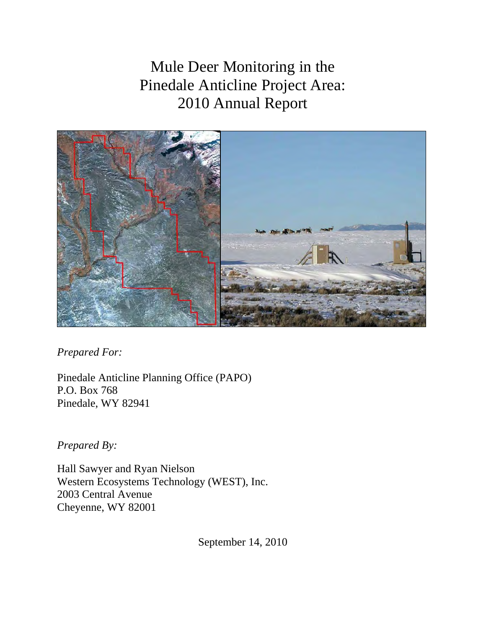Mule Deer Monitoring in the Pinedale Anticline Project Area: 2010 Annual Report



*Prepared For:* 

Pinedale Anticline Planning Office (PAPO) P.O. Box 768 Pinedale, WY 82941

*Prepared By:* 

Hall Sawyer and Ryan Nielson Western Ecosystems Technology (WEST), Inc. 2003 Central Avenue Cheyenne, WY 82001

September 14, 2010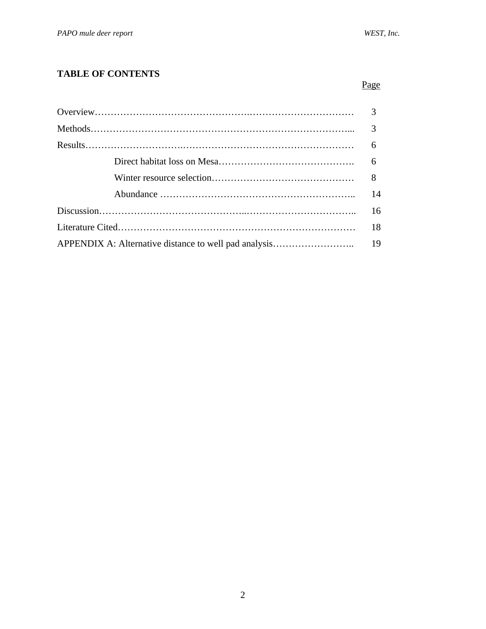# **TABLE OF CONTENTS**

| 3  |
|----|
| 3  |
| 6  |
| 6  |
|    |
| 14 |
| 16 |
| 18 |
|    |
|    |

<u>Page</u>

## 2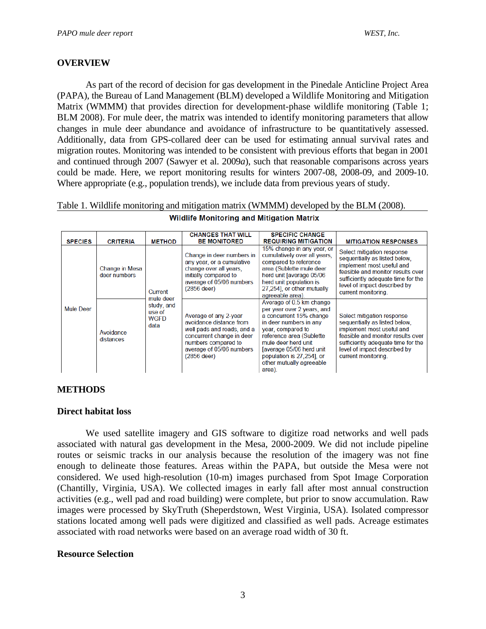### **OVERVIEW**

As part of the record of decision for gas development in the Pinedale Anticline Project Area (PAPA), the Bureau of Land Management (BLM) developed a Wildlife Monitoring and Mitigation Matrix (WMMM) that provides direction for development-phase wildlife monitoring (Table 1; BLM 2008). For mule deer, the matrix was intended to identify monitoring parameters that allow changes in mule deer abundance and avoidance of infrastructure to be quantitatively assessed. Additionally, data from GPS-collared deer can be used for estimating annual survival rates and migration routes. Monitoring was intended to be consistent with previous efforts that began in 2001 and continued through 2007 (Sawyer et al. 2009*a*), such that reasonable comparisons across years could be made. Here, we report monitoring results for winters 2007-08, 2008-09, and 2009-10. Where appropriate (e.g., population trends), we include data from previous years of study.

Table 1. Wildlife monitoring and mitigation matrix (WMMM) developed by the BLM (2008).

|                  |                                |                                             | <b>CHANGES THAT WILL</b>                                                                                                                                                        | <b>SPECIFIC CHANGE</b>                                                                                                                                                                                                                                                             |                                                                                                                                                                                                                            |
|------------------|--------------------------------|---------------------------------------------|---------------------------------------------------------------------------------------------------------------------------------------------------------------------------------|------------------------------------------------------------------------------------------------------------------------------------------------------------------------------------------------------------------------------------------------------------------------------------|----------------------------------------------------------------------------------------------------------------------------------------------------------------------------------------------------------------------------|
| <b>SPECIES</b>   | <b>CRITERIA</b>                | <b>METHOD</b>                               | <b>BE MONITORED</b>                                                                                                                                                             | <b>REQUIRING MITIGATION</b>                                                                                                                                                                                                                                                        | <b>MITIGATION RESPONSES</b>                                                                                                                                                                                                |
|                  | Change in Mesa<br>deer numbers | Current<br>mule deer                        | Change in deer numbers in<br>any year, or a cumulative<br>change over all years.<br>initially compared to<br>average of 05/06 numbers<br>$(2856$ deer)                          | 15% change in any year, or<br>cumulatively over all years,<br>compared to reference<br>area (Sublette mule deer<br>herd unit [average 05/06<br>herd unit population is<br>27,254], or other mutually<br>agreeable area).                                                           | Select mitigation response<br>sequentially as listed below,<br>implement most useful and<br>feasible and monitor results over<br>sufficiently adequate time for the<br>level of impact described by<br>current monitoring. |
| <b>Mule Deer</b> | Avoidance<br>distances         | study, and<br>use of<br><b>WGFD</b><br>data | Average of any 2-year<br>avoidance distance from<br>well pads and roads, and a<br>concurrent change in deer<br>numbers compared to<br>average of 05/06 numbers<br>$(2856$ deer) | Average of 0.5 km change<br>per year over 2 years, and<br>a concurrent 15% change<br>in deer numbers in any<br>year, compared to<br>reference area (Sublette<br>mule deer herd unit<br>Javerage 05/06 herd unit<br>population is 27,2541, or<br>other mutually agreeable<br>area). | Select mitigation response<br>sequentially as listed below.<br>implement most useful and<br>feasible and monitor results over<br>sufficiently adequate time for the<br>level of impact described by<br>current monitoring. |

| Wildlife Monitoring and Mitigation Matrix |  |  |
|-------------------------------------------|--|--|
|                                           |  |  |

## **METHODS**

#### **Direct habitat loss**

We used satellite imagery and GIS software to digitize road networks and well pads associated with natural gas development in the Mesa, 2000-2009. We did not include pipeline routes or seismic tracks in our analysis because the resolution of the imagery was not fine enough to delineate those features. Areas within the PAPA, but outside the Mesa were not considered. We used high-resolution (10-m) images purchased from Spot Image Corporation (Chantilly, Virginia, USA). We collected images in early fall after most annual construction activities (e.g., well pad and road building) were complete, but prior to snow accumulation. Raw images were processed by SkyTruth (Sheperdstown, West Virginia, USA). Isolated compressor stations located among well pads were digitized and classified as well pads. Acreage estimates associated with road networks were based on an average road width of 30 ft.

#### **Resource Selection**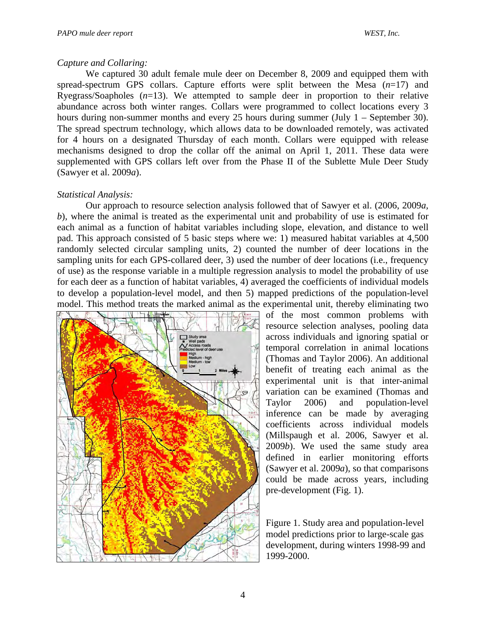### *Capture and Collaring:*

We captured 30 adult female mule deer on December 8, 2009 and equipped them with spread-spectrum GPS collars. Capture efforts were split between the Mesa (*n*=17) and Ryegrass/Soapholes (*n*=13). We attempted to sample deer in proportion to their relative abundance across both winter ranges. Collars were programmed to collect locations every 3 hours during non-summer months and every 25 hours during summer (July 1 – September 30). The spread spectrum technology, which allows data to be downloaded remotely, was activated for 4 hours on a designated Thursday of each month. Collars were equipped with release mechanisms designed to drop the collar off the animal on April 1, 2011. These data were supplemented with GPS collars left over from the Phase II of the Sublette Mule Deer Study (Sawyer et al. 2009*a*).

### *Statistical Analysis:*

Our approach to resource selection analysis followed that of Sawyer et al. (2006, 2009*a, b*), where the animal is treated as the experimental unit and probability of use is estimated for each animal as a function of habitat variables including slope, elevation, and distance to well pad. This approach consisted of 5 basic steps where we: 1) measured habitat variables at 4,500 randomly selected circular sampling units, 2) counted the number of deer locations in the sampling units for each GPS-collared deer, 3) used the number of deer locations (i.e., frequency of use) as the response variable in a multiple regression analysis to model the probability of use for each deer as a function of habitat variables, 4) averaged the coefficients of individual models to develop a population-level model, and then 5) mapped predictions of the population-level model. This method treats the marked animal as the experimental unit, thereby eliminating two



of the most common problems with resource selection analyses, pooling data across individuals and ignoring spatial or temporal correlation in animal locations (Thomas and Taylor 2006). An additional benefit of treating each animal as the experimental unit is that inter-animal variation can be examined (Thomas and Taylor 2006) and population-level inference can be made by averaging coefficients across individual models (Millspaugh et al. 2006, Sawyer et al. 2009*b*). We used the same study area defined in earlier monitoring efforts (Sawyer et al. 2009*a*), so that comparisons could be made across years, including pre-development (Fig. 1).

Figure 1. Study area and population-level model predictions prior to large-scale gas development, during winters 1998-99 and 1999-2000.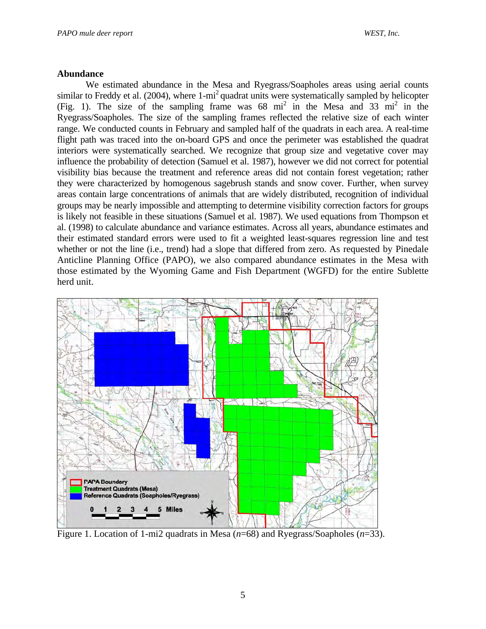#### **Abundance**

 We estimated abundance in the Mesa and Ryegrass/Soapholes areas using aerial counts similar to Freddy et al. (2004), where  $1-\text{mi}^2$  quadrat units were systematically sampled by helicopter (Fig. 1). The size of the sampling frame was  $68 \text{ mi}^2$  in the Mesa and  $33 \text{ mi}^2$  in the Ryegrass/Soapholes. The size of the sampling frames reflected the relative size of each winter range. We conducted counts in February and sampled half of the quadrats in each area. A real-time flight path was traced into the on-board GPS and once the perimeter was established the quadrat interiors were systematically searched. We recognize that group size and vegetative cover may influence the probability of detection (Samuel et al. 1987), however we did not correct for potential visibility bias because the treatment and reference areas did not contain forest vegetation; rather they were characterized by homogenous sagebrush stands and snow cover. Further, when survey areas contain large concentrations of animals that are widely distributed, recognition of individual groups may be nearly impossible and attempting to determine visibility correction factors for groups is likely not feasible in these situations (Samuel et al. 1987). We used equations from Thompson et al. (1998) to calculate abundance and variance estimates. Across all years, abundance estimates and their estimated standard errors were used to fit a weighted least-squares regression line and test whether or not the line (i.e., trend) had a slope that differed from zero. As requested by Pinedale Anticline Planning Office (PAPO), we also compared abundance estimates in the Mesa with those estimated by the Wyoming Game and Fish Department (WGFD) for the entire Sublette herd unit.



Figure 1. Location of 1-mi2 quadrats in Mesa (*n*=68) and Ryegrass/Soapholes (*n*=33).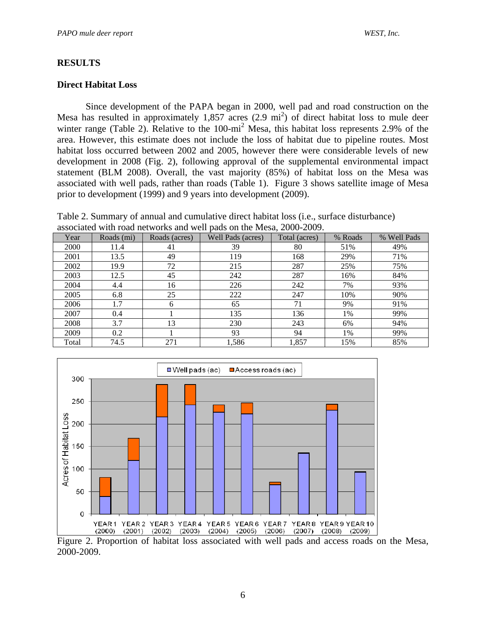## **RESULTS**

### **Direct Habitat Loss**

Since development of the PAPA began in 2000, well pad and road construction on the Mesa has resulted in approximately  $1,857$  acres  $(2.9 \text{ mi}^2)$  of direct habitat loss to mule deer winter range (Table 2). Relative to the 100-mi<sup>2</sup> Mesa, this habitat loss represents 2.9% of the area. However, this estimate does not include the loss of habitat due to pipeline routes. Most habitat loss occurred between 2002 and 2005, however there were considerable levels of new development in 2008 (Fig. 2), following approval of the supplemental environmental impact statement (BLM 2008). Overall, the vast majority (85%) of habitat loss on the Mesa was associated with well pads, rather than roads (Table 1). Figure 3 shows satellite image of Mesa prior to development (1999) and 9 years into development (2009).

Table 2. Summary of annual and cumulative direct habitat loss (i.e., surface disturbance) associated with road networks and well pads on the Mesa, 2000-2009.

| Year  | Roads (mi) | Roads (acres) | Well Pads (acres) | Total (acres) | % Roads | % Well Pads |
|-------|------------|---------------|-------------------|---------------|---------|-------------|
| 2000  | 11.4       | 41            | 39                | 80            | 51%     | 49%         |
| 2001  | 13.5       | 49            | 119               | 168           | 29%     | 71%         |
| 2002  | 19.9       | 72            | 215               | 287           | 25%     | 75%         |
| 2003  | 12.5       | 45            | 242               | 287           | 16%     | 84%         |
| 2004  | 4.4        | 16            | 226               | 242           | 7%      | 93%         |
| 2005  | 6.8        | 25            | 222               | 247           | 10%     | 90%         |
| 2006  | 1.7        | 6             | 65                | 71            | 9%      | 91%         |
| 2007  | 0.4        |               | 135               | 136           | 1%      | 99%         |
| 2008  | 3.7        | 13            | 230               | 243           | 6%      | 94%         |
| 2009  | 0.2        |               | 93                | 94            | 1%      | 99%         |
| Total | 74.5       | 271           | 1,586             | 1,857         | 15%     | 85%         |



Figure 2. Proportion of habitat loss associated with well pads and access roads on the Mesa, 2000-2009.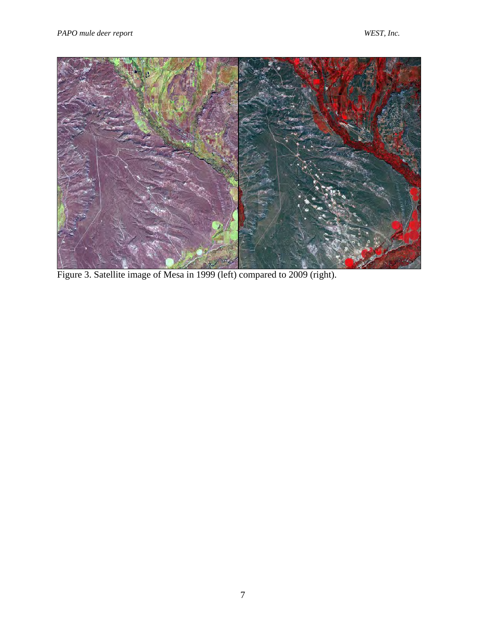

Figure 3. Satellite image of Mesa in 1999 (left) compared to 2009 (right).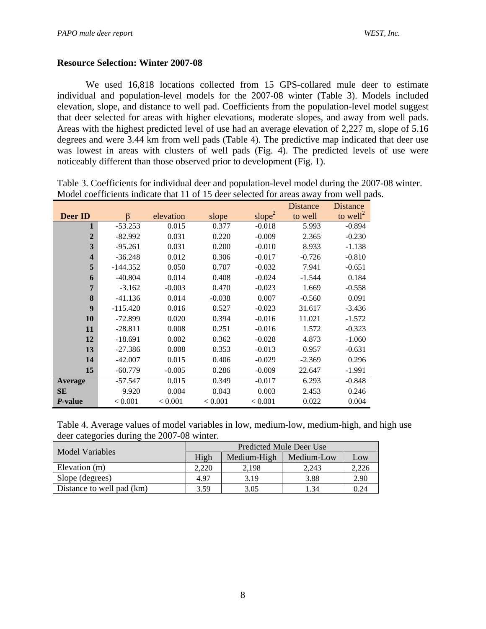### **Resource Selection: Winter 2007-08**

We used 16,818 locations collected from 15 GPS-collared mule deer to estimate individual and population-level models for the 2007-08 winter (Table 3). Models included elevation, slope, and distance to well pad. Coefficients from the population-level model suggest that deer selected for areas with higher elevations, moderate slopes, and away from well pads. Areas with the highest predicted level of use had an average elevation of 2,227 m, slope of 5.16 degrees and were 3.44 km from well pads (Table 4). The predictive map indicated that deer use was lowest in areas with clusters of well pads (Fig. 4). The predicted levels of use were noticeably different than those observed prior to development (Fig. 1).

|                         |            |           |          |                    | Distance | <b>Distance</b>      |
|-------------------------|------------|-----------|----------|--------------------|----------|----------------------|
| Deer ID                 | $\beta$    | elevation | slope    | slope <sup>2</sup> | to well  | to well <sup>2</sup> |
|                         | $-53.253$  | 0.015     | 0.377    | $-0.018$           | 5.993    | $-0.894$             |
| $\overline{2}$          | $-82.992$  | 0.031     | 0.220    | $-0.009$           | 2.365    | $-0.230$             |
| 3                       | $-95.261$  | 0.031     | 0.200    | $-0.010$           | 8.933    | $-1.138$             |
| $\overline{\mathbf{4}}$ | $-36.248$  | 0.012     | 0.306    | $-0.017$           | $-0.726$ | $-0.810$             |
| 5                       | $-144.352$ | 0.050     | 0.707    | $-0.032$           | 7.941    | $-0.651$             |
| 6                       | $-40.804$  | 0.014     | 0.408    | $-0.024$           | $-1.544$ | 0.184                |
| 7                       | $-3.162$   | $-0.003$  | 0.470    | $-0.023$           | 1.669    | $-0.558$             |
| 8                       | $-41.136$  | 0.014     | $-0.038$ | 0.007              | $-0.560$ | 0.091                |
| $\boldsymbol{9}$        | $-115.420$ | 0.016     | 0.527    | $-0.023$           | 31.617   | $-3.436$             |
| <b>10</b>               | $-72.899$  | 0.020     | 0.394    | $-0.016$           | 11.021   | $-1.572$             |
| 11                      | $-28.811$  | 0.008     | 0.251    | $-0.016$           | 1.572    | $-0.323$             |
| 12                      | $-18.691$  | 0.002     | 0.362    | $-0.028$           | 4.873    | $-1.060$             |
| 13                      | $-27.386$  | 0.008     | 0.353    | $-0.013$           | 0.957    | $-0.631$             |
| 14                      | $-42.007$  | 0.015     | 0.406    | $-0.029$           | $-2.369$ | 0.296                |
| 15                      | $-60.779$  | $-0.005$  | 0.286    | $-0.009$           | 22.647   | $-1.991$             |
| Average                 | $-57.547$  | 0.015     | 0.349    | $-0.017$           | 6.293    | $-0.848$             |
| <b>SE</b>               | 9.920      | 0.004     | 0.043    | 0.003              | 2.453    | 0.246                |
| <i>P</i> -value         | < 0.001    | < 0.001   | < 0.001  | < 0.001            | 0.022    | 0.004                |

Table 3. Coefficients for individual deer and population-level model during the 2007-08 winter. Model coefficients indicate that 11 of 15 deer selected for areas away from well pads.

Table 4. Average values of model variables in low, medium-low, medium-high, and high use deer categories during the 2007-08 winter.

| Model Variables           | Predicted Mule Deer Use |             |            |       |  |  |
|---------------------------|-------------------------|-------------|------------|-------|--|--|
|                           | High                    | Medium-High | Medium-Low | Low   |  |  |
| Elevation (m)             | 2.220                   | 2.198       | 2.243      | 2.226 |  |  |
| Slope (degrees)           | 4.97                    | 3.19        | 3.88       | 2.90  |  |  |
| Distance to well pad (km) | 3.59                    | 3.05        | 1.34       | 0.24  |  |  |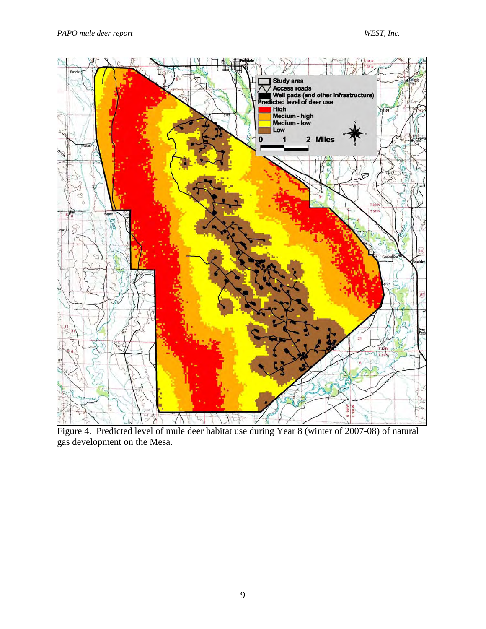

Figure 4. Predicted level of mule deer habitat use during Year 8 (winter of 2007-08) of natural gas development on the Mesa.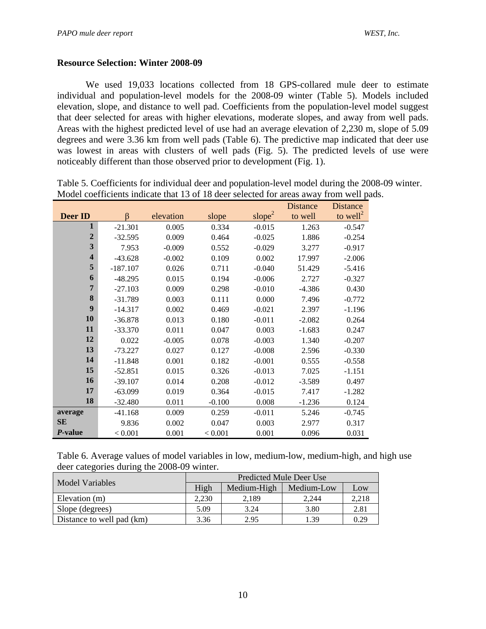#### **Resource Selection: Winter 2008-09**

We used 19,033 locations collected from 18 GPS-collared mule deer to estimate individual and population-level models for the 2008-09 winter (Table 5). Models included elevation, slope, and distance to well pad. Coefficients from the population-level model suggest that deer selected for areas with higher elevations, moderate slopes, and away from well pads. Areas with the highest predicted level of use had an average elevation of 2,230 m, slope of 5.09 degrees and were 3.36 km from well pads (Table 6). The predictive map indicated that deer use was lowest in areas with clusters of well pads (Fig. 5). The predicted levels of use were noticeably different than those observed prior to development (Fig. 1).

|                         |            |           |          |                    | Distance | <b>Distance</b>      |
|-------------------------|------------|-----------|----------|--------------------|----------|----------------------|
| Deer ID                 | $\beta$    | elevation | slope    | slope <sup>2</sup> | to well  | to well <sup>2</sup> |
| 1                       | $-21.301$  | 0.005     | 0.334    | $-0.015$           | 1.263    | $-0.547$             |
| $\boldsymbol{2}$        | $-32.595$  | 0.009     | 0.464    | $-0.025$           | 1.886    | $-0.254$             |
| 3                       | 7.953      | $-0.009$  | 0.552    | $-0.029$           | 3.277    | $-0.917$             |
| $\overline{\mathbf{4}}$ | $-43.628$  | $-0.002$  | 0.109    | 0.002              | 17.997   | $-2.006$             |
| 5                       | $-187.107$ | 0.026     | 0.711    | $-0.040$           | 51.429   | $-5.416$             |
| 6                       | $-48.295$  | 0.015     | 0.194    | $-0.006$           | 2.727    | $-0.327$             |
| $\overline{7}$          | $-27.103$  | 0.009     | 0.298    | $-0.010$           | $-4.386$ | 0.430                |
| 8                       | $-31.789$  | 0.003     | 0.111    | 0.000              | 7.496    | $-0.772$             |
| 9                       | $-14.317$  | 0.002     | 0.469    | $-0.021$           | 2.397    | $-1.196$             |
| 10                      | $-36.878$  | 0.013     | 0.180    | $-0.011$           | $-2.082$ | 0.264                |
| 11                      | $-33.370$  | 0.011     | 0.047    | 0.003              | $-1.683$ | 0.247                |
| 12                      | 0.022      | $-0.005$  | 0.078    | $-0.003$           | 1.340    | $-0.207$             |
| 13                      | $-73.227$  | 0.027     | 0.127    | $-0.008$           | 2.596    | $-0.330$             |
| 14                      | $-11.848$  | 0.001     | 0.182    | $-0.001$           | 0.555    | $-0.558$             |
| 15                      | $-52.851$  | 0.015     | 0.326    | $-0.013$           | 7.025    | $-1.151$             |
| 16                      | $-39.107$  | 0.014     | 0.208    | $-0.012$           | $-3.589$ | 0.497                |
| 17                      | $-63.099$  | 0.019     | 0.364    | $-0.015$           | 7.417    | $-1.282$             |
| 18                      | $-32.480$  | 0.011     | $-0.100$ | 0.008              | $-1.236$ | 0.124                |
| average                 | $-41.168$  | 0.009     | 0.259    | $-0.011$           | 5.246    | $-0.745$             |
| SE                      | 9.836      | 0.002     | 0.047    | 0.003              | 2.977    | 0.317                |
| P-value                 | < 0.001    | 0.001     | < 0.001  | 0.001              | 0.096    | 0.031                |

Table 5. Coefficients for individual deer and population-level model during the 2008-09 winter. Model coefficients indicate that 13 of 18 deer selected for areas away from well pads.

Table 6. Average values of model variables in low, medium-low, medium-high, and high use deer categories during the 2008-09 winter.

|                           | Predicted Mule Deer Use |             |            |       |  |  |
|---------------------------|-------------------------|-------------|------------|-------|--|--|
| Model Variables           | High                    | Medium-High | Medium-Low | Low   |  |  |
| Elevation (m)             | 2.230                   | 2.189       | 2.244      | 2.218 |  |  |
| Slope (degrees)           | 5.09                    | 3.24        | 3.80       | 2.81  |  |  |
| Distance to well pad (km) | 3.36                    | 2.95        | 1.39       | 0.29  |  |  |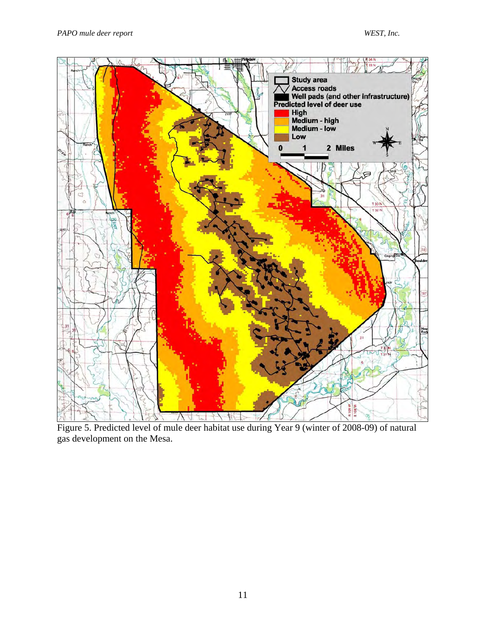

Figure 5. Predicted level of mule deer habitat use during Year 9 (winter of 2008-09) of natural gas development on the Mesa.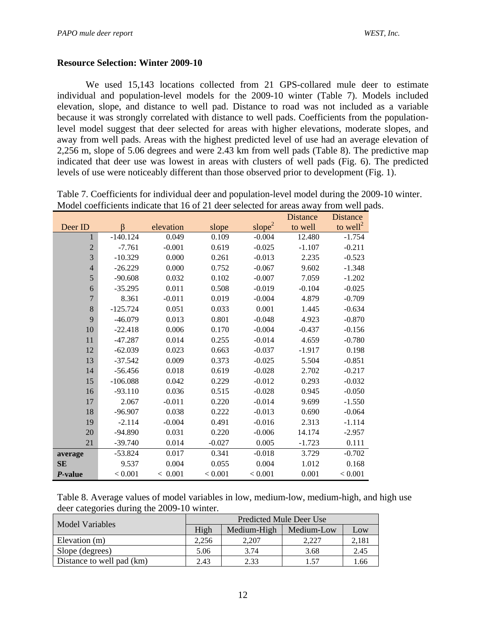#### **Resource Selection: Winter 2009-10**

We used 15,143 locations collected from 21 GPS-collared mule deer to estimate individual and population-level models for the 2009-10 winter (Table 7). Models included elevation, slope, and distance to well pad. Distance to road was not included as a variable because it was strongly correlated with distance to well pads. Coefficients from the populationlevel model suggest that deer selected for areas with higher elevations, moderate slopes, and away from well pads. Areas with the highest predicted level of use had an average elevation of 2,256 m, slope of 5.06 degrees and were 2.43 km from well pads (Table 8). The predictive map indicated that deer use was lowest in areas with clusters of well pads (Fig. 6). The predicted levels of use were noticeably different than those observed prior to development (Fig. 1).

| Table 7. Coefficients for individual deer and population-level model during the 2009-10 winter. |
|-------------------------------------------------------------------------------------------------|
| Model coefficients indicate that 16 of 21 deer selected for areas away from well pads.          |

|                 |            |           |          |                    | <b>Distance</b> | <b>Distance</b>      |
|-----------------|------------|-----------|----------|--------------------|-----------------|----------------------|
| Deer ID         | $\beta$    | elevation | slope    | slope <sup>2</sup> | to well         | to well <sup>2</sup> |
| 1               | $-140.124$ | 0.049     | 0.109    | $-0.004$           | 12.480          | $-1.754$             |
| $\sqrt{2}$      | $-7.761$   | $-0.001$  | 0.619    | $-0.025$           | $-1.107$        | $-0.211$             |
| 3               | $-10.329$  | 0.000     | 0.261    | $-0.013$           | 2.235           | $-0.523$             |
| $\overline{4}$  | $-26.229$  | 0.000     | 0.752    | $-0.067$           | 9.602           | $-1.348$             |
| 5               | $-90.608$  | 0.032     | 0.102    | $-0.007$           | 7.059           | $-1.202$             |
| 6               | $-35.295$  | 0.011     | 0.508    | $-0.019$           | $-0.104$        | $-0.025$             |
| $\overline{7}$  | 8.361      | $-0.011$  | 0.019    | $-0.004$           | 4.879           | $-0.709$             |
| 8               | $-125.724$ | 0.051     | 0.033    | 0.001              | 1.445           | $-0.634$             |
| 9               | $-46.079$  | 0.013     | 0.801    | $-0.048$           | 4.923           | $-0.870$             |
| 10              | $-22.418$  | 0.006     | 0.170    | $-0.004$           | $-0.437$        | $-0.156$             |
| 11              | $-47.287$  | 0.014     | 0.255    | $-0.014$           | 4.659           | $-0.780$             |
| 12              | $-62.039$  | 0.023     | 0.663    | $-0.037$           | $-1.917$        | 0.198                |
| 13              | $-37.542$  | 0.009     | 0.373    | $-0.025$           | 5.504           | $-0.851$             |
| 14              | $-56.456$  | 0.018     | 0.619    | $-0.028$           | 2.702           | $-0.217$             |
| 15              | $-106.088$ | 0.042     | 0.229    | $-0.012$           | 0.293           | $-0.032$             |
| 16              | $-93.110$  | 0.036     | 0.515    | $-0.028$           | 0.945           | $-0.050$             |
| 17              | 2.067      | $-0.011$  | 0.220    | $-0.014$           | 9.699           | $-1.550$             |
| 18              | $-96.907$  | 0.038     | 0.222    | $-0.013$           | 0.690           | $-0.064$             |
| 19              | $-2.114$   | $-0.004$  | 0.491    | $-0.016$           | 2.313           | $-1.114$             |
| 20              | $-94.890$  | 0.031     | 0.220    | $-0.006$           | 14.174          | $-2.957$             |
| 21              | $-39.740$  | 0.014     | $-0.027$ | 0.005              | $-1.723$        | 0.111                |
| average         | $-53.824$  | 0.017     | 0.341    | $-0.018$           | 3.729           | $-0.702$             |
| <b>SE</b>       | 9.537      | 0.004     | 0.055    | 0.004              | 1.012           | 0.168                |
| <i>P</i> -value | < 0.001    | < 0.001   | < 0.001  | < 0.001            | 0.001           | < 0.001              |

| Table 8. Average values of model variables in low, medium-low, medium-high, and high use |  |
|------------------------------------------------------------------------------------------|--|
| deer categories during the 2009-10 winter.                                               |  |

| Model Variables           | Predicted Mule Deer Use |             |            |       |  |  |
|---------------------------|-------------------------|-------------|------------|-------|--|--|
|                           | High                    | Medium-High | Medium-Low | Low   |  |  |
| Elevation (m)             | 2.256                   | 2.207       | 2.227      | 2,181 |  |  |
| Slope (degrees)           | 5.06                    | 3.74        | 3.68       | 2.45  |  |  |
| Distance to well pad (km) | 2.43                    | 2.33        | 1.57       | 1.66  |  |  |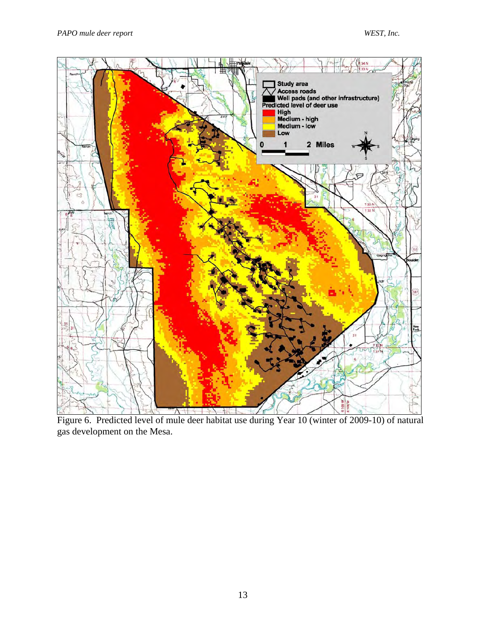

Figure 6. Predicted level of mule deer habitat use during Year 10 (winter of 2009-10) of natural gas development on the Mesa.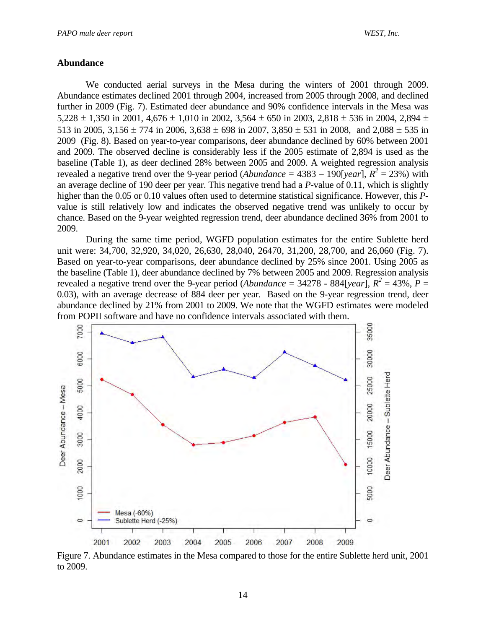#### **Abundance**

 We conducted aerial surveys in the Mesa during the winters of 2001 through 2009. Abundance estimates declined 2001 through 2004, increased from 2005 through 2008, and declined further in 2009 (Fig. 7). Estimated deer abundance and 90% confidence intervals in the Mesa was 5,228  $\pm$  1,350 in 2001, 4,676  $\pm$  1,010 in 2002, 3,564  $\pm$  650 in 2003, 2,818  $\pm$  536 in 2004, 2,894  $\pm$ 513 in 2005,  $3,156 \pm 774$  in 2006,  $3,638 \pm 698$  in 2007,  $3,850 \pm 531$  in 2008, and  $2,088 \pm 535$  in 2009 (Fig. 8). Based on year-to-year comparisons, deer abundance declined by 60% between 2001 and 2009. The observed decline is considerably less if the 2005 estimate of 2,894 is used as the baseline (Table 1), as deer declined 28% between 2005 and 2009. A weighted regression analysis revealed a negative trend over the 9-year period (*Abundance* =  $4383 - 190$ [*year*],  $R^2 = 23\%$ ) with an average decline of 190 deer per year. This negative trend had a *P*-value of 0.11, which is slightly higher than the 0.05 or 0.10 values often used to determine statistical significance. However, this *P*value is still relatively low and indicates the observed negative trend was unlikely to occur by chance. Based on the 9-year weighted regression trend, deer abundance declined 36% from 2001 to 2009.

During the same time period, WGFD population estimates for the entire Sublette herd unit were: 34,700, 32,920, 34,020, 26,630, 28,040, 26470, 31,200, 28,700, and 26,060 (Fig. 7). Based on year-to-year comparisons, deer abundance declined by 25% since 2001. Using 2005 as the baseline (Table 1), deer abundance declined by 7% between 2005 and 2009. Regression analysis revealed a negative trend over the 9-year period (*Abundance* = 34278 - 884[*year*],  $R^2 = 43\%$ ,  $P =$ 0.03), with an average decrease of 884 deer per year. Based on the 9-year regression trend, deer abundance declined by 21% from 2001 to 2009. We note that the WGFD estimates were modeled from POPII software and have no confidence intervals associated with them.



Figure 7. Abundance estimates in the Mesa compared to those for the entire Sublette herd unit, 2001 to 2009.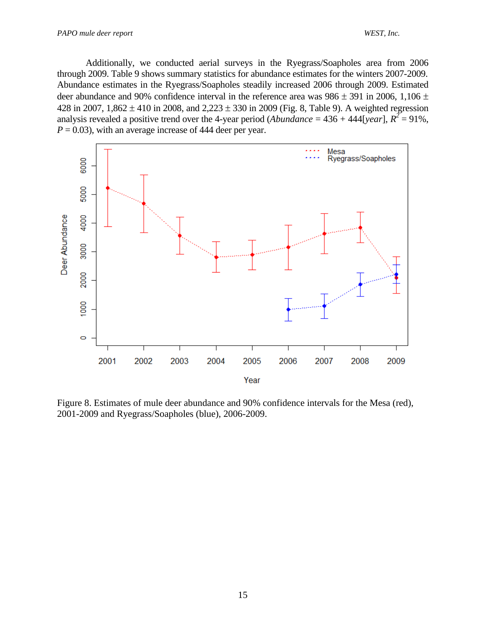Additionally, we conducted aerial surveys in the Ryegrass/Soapholes area from 2006 through 2009. Table 9 shows summary statistics for abundance estimates for the winters 2007-2009. Abundance estimates in the Ryegrass/Soapholes steadily increased 2006 through 2009. Estimated deer abundance and 90% confidence interval in the reference area was  $986 \pm 391$  in 2006, 1,106  $\pm$ 428 in 2007,  $1,862 \pm 410$  in 2008, and  $2,223 \pm 330$  in 2009 (Fig. 8, Table 9). A weighted regression analysis revealed a positive trend over the 4-year period (*Abundance* =  $436 + 444$ [*year*],  $R^2 = 91\%$ ,  $P = 0.03$ , with an average increase of 444 deer per year.



Figure 8. Estimates of mule deer abundance and 90% confidence intervals for the Mesa (red), 2001-2009 and Ryegrass/Soapholes (blue), 2006-2009.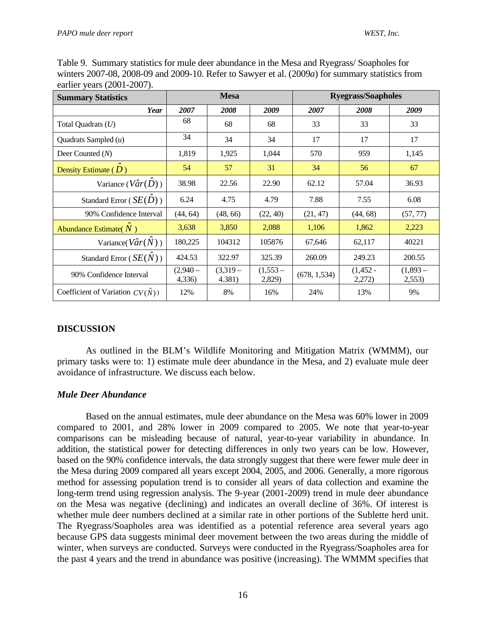| <b>Summary Statistics</b>                | <b>Mesa</b>         |                     |                     | <b>Ryegrass/Soapholes</b> |                      |                     |
|------------------------------------------|---------------------|---------------------|---------------------|---------------------------|----------------------|---------------------|
| Year                                     | 2007                | 2008                | 2009                | 2007                      | 2008                 | 2009                |
| Total Quadrats $(U)$                     | 68                  | 68                  | 68                  | 33                        | 33                   | 33                  |
| Quadrats Sampled $(u)$                   | 34                  | 34                  | 34                  | 17                        | 17                   | 17                  |
| Deer Counted (N)                         | 1,819               | 1,925               | 1,044               | 570                       | 959                  | 1,145               |
| Density Estimate $(D)$                   | 54                  | 57                  | 31                  | 34                        | 56                   | 67                  |
| Variance $(\hat{Var}(\hat{D}))$          | 38.98               | 22.56               | 22.90               | 62.12                     | 57.04                | 36.93               |
| Standard Error ( $SE(\hat{D})$ )         | 6.24                | 4.75                | 4.79                | 7.88                      | 7.55                 | 6.08                |
| 90% Confidence Interval                  | (44, 64)            | (48, 66)            | (22, 40)            | (21, 47)                  | (44, 68)             | (57, 77)            |
| Abundance Estimate( $\hat{N}$ )          | 3,638               | 3,850               | 2,088               | 1,106                     | 1,862                | 2,223               |
| Variance( $V\hat{a}r(\hat{N})$ )         | 180,225             | 104312              | 105876              | 67,646                    | 62,117               | 40221               |
| Standard Error $(SE(N))$                 | 424.53              | 322.97              | 325.39              | 260.09                    | 249.23               | 200.55              |
| 90% Confidence Interval                  | $(2,940-$<br>4,336) | $(3,319-$<br>4.381) | $(1,553-$<br>2,829) | (678, 1, 534)             | $(1,452 -$<br>2,272) | $(1,893-$<br>2,553) |
| Coefficient of Variation $CV(\hat{N})$ ) | 12%                 | 8%                  | 16%                 | 24%                       | 13%                  | 9%                  |

Table 9. Summary statistics for mule deer abundance in the Mesa and Ryegrass/ Soapholes for winters 2007-08, 2008-09 and 2009-10. Refer to Sawyer et al. (2009*a*) for summary statistics from earlier years (2001-2007).

## **DISCUSSION**

As outlined in the BLM's Wildlife Monitoring and Mitigation Matrix (WMMM), our primary tasks were to: 1) estimate mule deer abundance in the Mesa, and 2) evaluate mule deer avoidance of infrastructure. We discuss each below.

#### *Mule Deer Abundance*

Based on the annual estimates, mule deer abundance on the Mesa was 60% lower in 2009 compared to 2001, and 28% lower in 2009 compared to 2005. We note that year-to-year comparisons can be misleading because of natural, year-to-year variability in abundance. In addition, the statistical power for detecting differences in only two years can be low. However, based on the 90% confidence intervals, the data strongly suggest that there were fewer mule deer in the Mesa during 2009 compared all years except 2004, 2005, and 2006. Generally, a more rigorous method for assessing population trend is to consider all years of data collection and examine the long-term trend using regression analysis. The 9-year (2001-2009) trend in mule deer abundance on the Mesa was negative (declining) and indicates an overall decline of 36%. Of interest is whether mule deer numbers declined at a similar rate in other portions of the Sublette herd unit. The Ryegrass/Soapholes area was identified as a potential reference area several years ago because GPS data suggests minimal deer movement between the two areas during the middle of winter, when surveys are conducted. Surveys were conducted in the Ryegrass/Soapholes area for the past 4 years and the trend in abundance was positive (increasing). The WMMM specifies that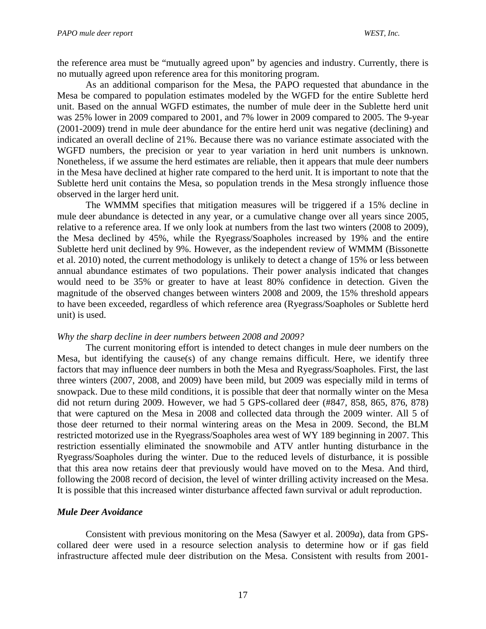the reference area must be "mutually agreed upon" by agencies and industry. Currently, there is no mutually agreed upon reference area for this monitoring program.

As an additional comparison for the Mesa, the PAPO requested that abundance in the Mesa be compared to population estimates modeled by the WGFD for the entire Sublette herd unit. Based on the annual WGFD estimates, the number of mule deer in the Sublette herd unit was 25% lower in 2009 compared to 2001, and 7% lower in 2009 compared to 2005. The 9-year (2001-2009) trend in mule deer abundance for the entire herd unit was negative (declining) and indicated an overall decline of 21%. Because there was no variance estimate associated with the WGFD numbers, the precision or year to year variation in herd unit numbers is unknown. Nonetheless, if we assume the herd estimates are reliable, then it appears that mule deer numbers in the Mesa have declined at higher rate compared to the herd unit. It is important to note that the Sublette herd unit contains the Mesa, so population trends in the Mesa strongly influence those observed in the larger herd unit.

The WMMM specifies that mitigation measures will be triggered if a 15% decline in mule deer abundance is detected in any year, or a cumulative change over all years since 2005, relative to a reference area. If we only look at numbers from the last two winters (2008 to 2009), the Mesa declined by 45%, while the Ryegrass/Soapholes increased by 19% and the entire Sublette herd unit declined by 9%. However, as the independent review of WMMM (Bissonette et al. 2010) noted, the current methodology is unlikely to detect a change of 15% or less between annual abundance estimates of two populations. Their power analysis indicated that changes would need to be 35% or greater to have at least 80% confidence in detection. Given the magnitude of the observed changes between winters 2008 and 2009, the 15% threshold appears to have been exceeded, regardless of which reference area (Ryegrass/Soapholes or Sublette herd unit) is used.

#### *Why the sharp decline in deer numbers between 2008 and 2009?*

The current monitoring effort is intended to detect changes in mule deer numbers on the Mesa, but identifying the cause(s) of any change remains difficult. Here, we identify three factors that may influence deer numbers in both the Mesa and Ryegrass/Soapholes. First, the last three winters (2007, 2008, and 2009) have been mild, but 2009 was especially mild in terms of snowpack. Due to these mild conditions, it is possible that deer that normally winter on the Mesa did not return during 2009. However, we had 5 GPS-collared deer (#847, 858, 865, 876, 878) that were captured on the Mesa in 2008 and collected data through the 2009 winter. All 5 of those deer returned to their normal wintering areas on the Mesa in 2009. Second, the BLM restricted motorized use in the Ryegrass/Soapholes area west of WY 189 beginning in 2007. This restriction essentially eliminated the snowmobile and ATV antler hunting disturbance in the Ryegrass/Soapholes during the winter. Due to the reduced levels of disturbance, it is possible that this area now retains deer that previously would have moved on to the Mesa. And third, following the 2008 record of decision, the level of winter drilling activity increased on the Mesa. It is possible that this increased winter disturbance affected fawn survival or adult reproduction.

#### *Mule Deer Avoidance*

Consistent with previous monitoring on the Mesa (Sawyer et al. 2009*a*), data from GPScollared deer were used in a resource selection analysis to determine how or if gas field infrastructure affected mule deer distribution on the Mesa. Consistent with results from 2001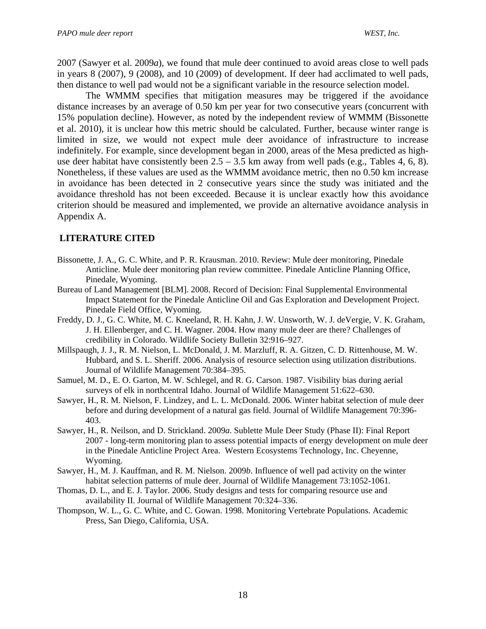2007 (Sawyer et al. 2009*a*), we found that mule deer continued to avoid areas close to well pads in years 8 (2007), 9 (2008), and 10 (2009) of development. If deer had acclimated to well pads, then distance to well pad would not be a significant variable in the resource selection model.

The WMMM specifies that mitigation measures may be triggered if the avoidance distance increases by an average of 0.50 km per year for two consecutive years (concurrent with 15% population decline). However, as noted by the independent review of WMMM (Bissonette et al. 2010), it is unclear how this metric should be calculated. Further, because winter range is limited in size, we would not expect mule deer avoidance of infrastructure to increase indefinitely. For example, since development began in 2000, areas of the Mesa predicted as highuse deer habitat have consistently been  $2.5 - 3.5$  km away from well pads (e.g., Tables 4, 6, 8). Nonetheless, if these values are used as the WMMM avoidance metric, then no 0.50 km increase in avoidance has been detected in 2 consecutive years since the study was initiated and the avoidance threshold has not been exceeded. Because it is unclear exactly how this avoidance criterion should be measured and implemented, we provide an alternative avoidance analysis in Appendix A.

## **LITERATURE CITED**

- Bissonette, J. A., G. C. White, and P. R. Krausman. 2010. Review: Mule deer monitoring, Pinedale Anticline. Mule deer monitoring plan review committee. Pinedale Anticline Planning Office, Pinedale, Wyoming.
- Bureau of Land Management [BLM]. 2008. Record of Decision: Final Supplemental Environmental Impact Statement for the Pinedale Anticline Oil and Gas Exploration and Development Project. Pinedale Field Office, Wyoming.
- Freddy, D. J., G. C. White, M. C. Kneeland, R. H. Kahn, J. W. Unsworth, W. J. deVergie, V. K. Graham, J. H. Ellenberger, and C. H. Wagner. 2004. How many mule deer are there? Challenges of credibility in Colorado. Wildlife Society Bulletin 32:916–927.
- Millspaugh, J. J., R. M. Nielson, L. McDonald, J. M. Marzluff, R. A. Gitzen, C. D. Rittenhouse, M. W. Hubbard, and S. L. Sheriff. 2006. Analysis of resource selection using utilization distributions. Journal of Wildlife Management 70:384–395.
- Samuel, M. D., E. O. Garton, M. W. Schlegel, and R. G. Carson. 1987. Visibility bias during aerial surveys of elk in northcentral Idaho. Journal of Wildlife Management 51:622–630.
- Sawyer, H., R. M. Nielson, F. Lindzey, and L. L. McDonald. 2006. Winter habitat selection of mule deer before and during development of a natural gas field. Journal of Wildlife Management 70:396- 403.
- Sawyer, H., R. Neilson, and D. Strickland. 2009*a*. Sublette Mule Deer Study (Phase II): Final Report 2007 - long-term monitoring plan to assess potential impacts of energy development on mule deer in the Pinedale Anticline Project Area. Western Ecosystems Technology, Inc. Cheyenne, Wyoming.
- Sawyer, H., M. J. Kauffman, and R. M. Nielson. 2009*b*. Influence of well pad activity on the winter habitat selection patterns of mule deer. Journal of Wildlife Management 73:1052-1061*.*
- Thomas, D. L., and E. J. Taylor. 2006. Study designs and tests for comparing resource use and availability II. Journal of Wildlife Management 70:324–336.
- Thompson, W. L., G. C. White, and C. Gowan. 1998. Monitoring Vertebrate Populations. Academic Press, San Diego, California, USA.